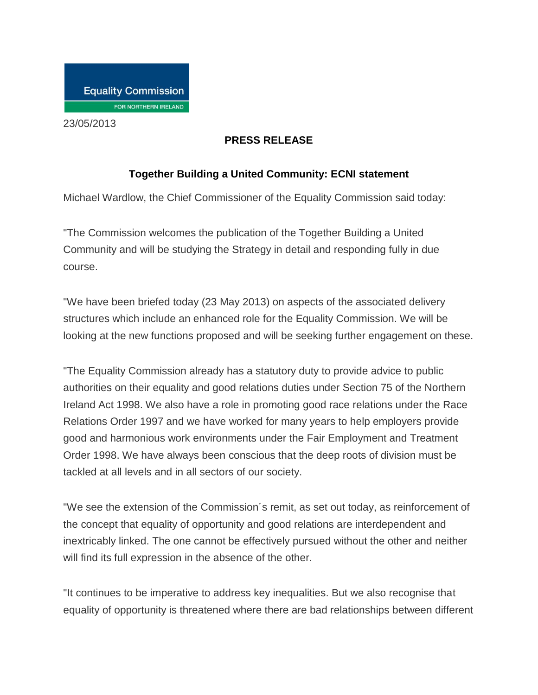

23/05/2013

## **PRESS RELEASE**

## **Together Building a United Community: ECNI statement**

Michael Wardlow, the Chief Commissioner of the Equality Commission said today:

"The Commission welcomes the publication of the Together Building a United Community and will be studying the Strategy in detail and responding fully in due course.

"We have been briefed today (23 May 2013) on aspects of the associated delivery structures which include an enhanced role for the Equality Commission. We will be looking at the new functions proposed and will be seeking further engagement on these.

"The Equality Commission already has a statutory duty to provide advice to public authorities on their equality and good relations duties under Section 75 of the Northern Ireland Act 1998. We also have a role in promoting good race relations under the Race Relations Order 1997 and we have worked for many years to help employers provide good and harmonious work environments under the Fair Employment and Treatment Order 1998. We have always been conscious that the deep roots of division must be tackled at all levels and in all sectors of our society.

"We see the extension of the Commission´s remit, as set out today, as reinforcement of the concept that equality of opportunity and good relations are interdependent and inextricably linked. The one cannot be effectively pursued without the other and neither will find its full expression in the absence of the other.

"It continues to be imperative to address key inequalities. But we also recognise that equality of opportunity is threatened where there are bad relationships between different